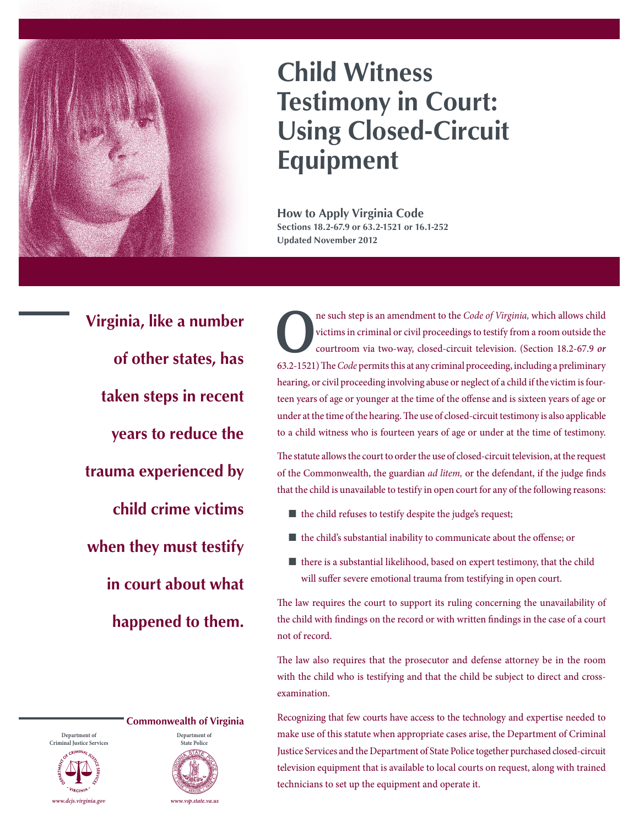

## **Child Witness Testimony in Court: Using Closed-Circuit Equipment**

**How to Apply Virginia Code Sections 18.2-67.9 or 63.2-1521 or 16.1-252 Updated November 2012**

**Virginia, like a number of other states, has taken steps in recent years to reduce the trauma experienced by child crime victims when they must testify in court about what happened to them.**

**Department of Criminal Justice Services**





**O**ne such step is an amendment to the *Code of Virginia*, which allows child victims in criminal or civil proceedings to testify from a room outside the courtroom via two-way, closed-circuit television. (Section 18.2-67.9 victims in criminal or civil proceedings to testify from a room outside the courtroom via two-way, closed-circuit television. (Section [18.2-67.9](http://lis.virginia.gov/cgi-bin/legp604.exe?000+cod+18.2-67.9) *or*  [63.2-1521\)](http://leg1.state.va.us/cgi-bin/legp504.exe?000+cod+63.2-1521) The *Code* permits this at any criminal proceeding, including a preliminary hearing, or civil proceeding involving abuse or neglect of a child if the victim is fourteen years of age or younger at the time of the offense and is sixteen years of age or under at the time of the hearing. The use of closed-circuit testimony is also applicable to a child witness who is fourteen years of age or under at the time of testimony.

The statute allows the court to order the use of closed-circuit television, at the request of the Commonwealth, the guardian *ad litem,* or the defendant, if the judge finds that the child is unavailable to testify in open court for any of the following reasons:

- $\blacksquare$  the child refuses to testify despite the judge's request;
- $\blacksquare$  the child's substantial inability to communicate about the offense; or
- $\blacksquare$  there is a substantial likelihood, based on expert testimony, that the child will suffer severe emotional trauma from testifying in open court.

The law requires the court to support its ruling concerning the unavailability of the child with findings on the record or with written findings in the case of a court not of record.

The law also requires that the prosecutor and defense attorney be in the room with the child who is testifying and that the child be subject to direct and crossexamination.

Recognizing that few courts have access to the technology and expertise needed to make use of this statute when appropriate cases arise, the Department of Criminal Justice Services and the Department of State Police together purchased closed-circuit television equipment that is available to local courts on request, along with trained technicians to set up the equipment and operate it.